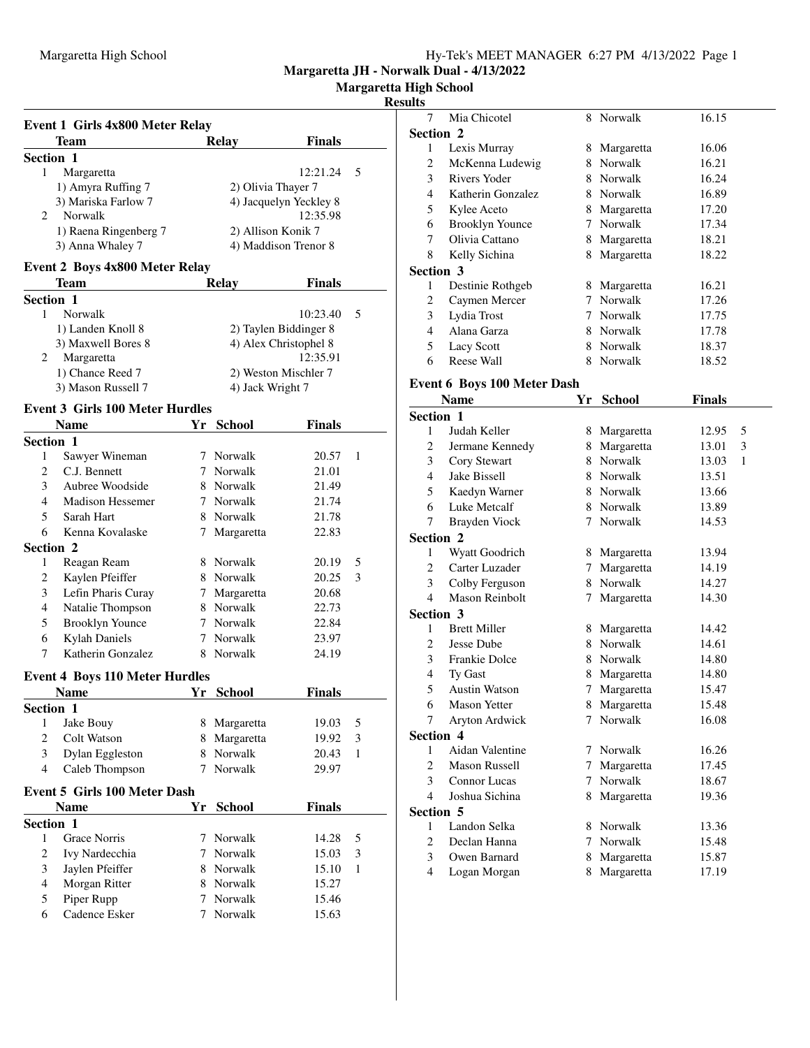# **Margaretta High School**

### **Results**

| <b>Team</b>                           | Relay | <b>Finals</b>          |
|---------------------------------------|-------|------------------------|
| <b>Section 1</b>                      |       |                        |
| Margaretta                            |       | 12:21.24<br>-5         |
| 1) Amyra Ruffing 7                    |       | 2) Olivia Thayer 7     |
| 3) Mariska Farlow 7                   |       | 4) Jacquelyn Yeckley 8 |
| Norwalk<br>$\mathfrak{D}$             |       | 12:35.98               |
| 1) Raena Ringenberg 7                 |       | 2) Allison Konik 7     |
| 3) Anna Whaley 7                      |       | 4) Maddison Trenor 8   |
| <b>Event 2 Boys 4x800 Meter Relay</b> |       |                        |
| Team                                  | Relav | Finals                 |

| тсан               | луси у<br>т піаю      |    |
|--------------------|-----------------------|----|
| <b>Section 1</b>   |                       |    |
| Norwalk            | 10:23.40              | -5 |
| 1) Landen Knoll 8  | 2) Taylen Biddinger 8 |    |
| 3) Maxwell Bores 8 | 4) Alex Christophel 8 |    |
| Margaretta         | 12:35.91              |    |
| 1) Chance Reed 7   | 2) Weston Mischler 7  |    |
| 3) Mason Russell 7 | 4) Jack Wright 7      |    |
|                    |                       |    |

#### **Event 3 Girls 100 Meter Hurdles**

|                  | <b>Name</b>                           | Yr | <b>School</b> | <b>Finals</b> |   |
|------------------|---------------------------------------|----|---------------|---------------|---|
| <b>Section 1</b> |                                       |    |               |               |   |
| 1                | Sawyer Wineman                        | 7  | Norwalk       | 20.57         | 1 |
| $\overline{2}$   | C.J. Bennett                          | 7  | Norwalk       | 21.01         |   |
| 3                | Aubree Woodside                       | 8  | Norwalk       | 21.49         |   |
| $\overline{4}$   | Madison Hessemer                      | 7  | Norwalk       | 21.74         |   |
| 5                | Sarah Hart                            | 8  | Norwalk       | 21.78         |   |
| 6                | Kenna Kovalaske                       | 7  | Margaretta    | 22.83         |   |
| Section 2        |                                       |    |               |               |   |
| 1                | Reagan Ream                           |    | 8 Norwalk     | 20.19         | 5 |
| $\overline{c}$   | Kaylen Pfeiffer                       |    | 8 Norwalk     | 20.25         | 3 |
| 3                | Lefin Pharis Curay                    |    | 7 Margaretta  | 20.68         |   |
| $\overline{4}$   | Natalie Thompson                      |    | 8 Norwalk     | 22.73         |   |
| 5                | <b>Brooklyn Younce</b>                | 7  | Norwalk       | 22.84         |   |
| 6                | Kylah Daniels                         | 7  | Norwalk       | 23.97         |   |
| 7                | Katherin Gonzalez                     | 8  | Norwalk       | 24.19         |   |
|                  | <b>Event 4 Boys 110 Meter Hurdles</b> |    |               |               |   |
|                  | <b>Name</b>                           | Yr | <b>School</b> | <b>Finals</b> |   |
| Section 1        |                                       |    |               |               |   |
| 1                | Jake Bouy                             |    | 8 Margaretta  | 19.03         | 5 |
| $\overline{2}$   | Colt Watson                           | 8  | Margaretta    | 19.92         | 3 |
| 3                | Dylan Eggleston                       | 8. | Norwalk       | 20.43         | 1 |
| $\overline{4}$   | Caleb Thompson                        | 7  | Norwalk       | 29.97         |   |
|                  | <b>Event 5 Girls 100 Meter Dash</b>   |    |               |               |   |
|                  | <b>Name</b>                           | Yr | <b>School</b> | <b>Finals</b> |   |
| <b>Section 1</b> |                                       |    |               |               |   |
| 1                | <b>Grace Norris</b>                   | 7  | Norwalk       | 14.28         | 5 |
| 2                | Ivy Nardecchia                        |    | 7 Norwalk     | 15.03         | 3 |
| 3                | Jaylen Pfeiffer                       |    | 8 Norwalk     | 15.10         | 1 |
| $\overline{4}$   | Morgan Ritter                         |    | 8 Norwalk     | 15.27         |   |
| 5                | Piper Rupp                            | 7  | Norwalk       | 15.46         |   |
| 6                | Cadence Esker                         | 7  | Norwalk       | 15.63         |   |
|                  |                                       |    |               |               |   |

| sults               |                                             |        |                       |                |  |
|---------------------|---------------------------------------------|--------|-----------------------|----------------|--|
| 7                   | Mia Chicotel                                | 8      | Norwalk               | 16.15          |  |
| Section 2           |                                             |        |                       |                |  |
| 1                   | Lexis Murray                                |        | 8 Margaretta          | 16.06          |  |
| 2                   | McKenna Ludewig                             |        | 8 Norwalk             | 16.21          |  |
| 3                   | Rivers Yoder                                |        | 8 Norwalk             | 16.24          |  |
| 4                   | Katherin Gonzalez                           |        | 8 Norwalk             | 16.89          |  |
| 5                   | Kylee Aceto                                 |        | 8 Margaretta          | 17.20          |  |
| 6                   | <b>Brooklyn Younce</b>                      | 7      | Norwalk               | 17.34          |  |
| 7                   | Olivia Cattano                              | 8      | Margaretta            | 18.21          |  |
| 8                   | Kelly Sichina                               | 8      | Margaretta            | 18.22          |  |
| Section 3           |                                             |        |                       |                |  |
| 1                   | Destinie Rothgeb                            | 8      | Margaretta            | 16.21          |  |
| $\overline{c}$      | Caymen Mercer                               | 7      | Norwalk               | 17.26          |  |
| 3                   | Lydia Trost                                 |        | 7 Norwalk             | 17.75          |  |
| $\overline{4}$      | Alana Garza                                 |        | 8 Norwalk             | 17.78          |  |
| 5                   | <b>Lacy Scott</b>                           | 8      | Norwalk               | 18.37          |  |
| 6                   | Reese Wall                                  | 8      | Norwalk               | 18.52          |  |
|                     |                                             |        |                       |                |  |
|                     | <b>Event 6 Boys 100 Meter Dash</b>          |        |                       |                |  |
|                     | <b>Name</b>                                 | Yr     | <b>School</b>         | Finals         |  |
| Section 1           |                                             |        |                       |                |  |
| 1                   | Judah Keller                                | 8      | Margaretta            | 12.95<br>5     |  |
| 2                   | Jermane Kennedy                             | 8      | Margaretta            | 3<br>13.01     |  |
| 3                   | Cory Stewart                                | 8      | Norwalk               | 1<br>13.03     |  |
| 4                   | Jake Bissell                                | 8      | Norwalk               | 13.51          |  |
| 5                   | Kaedyn Warner                               | 8      | Norwalk               | 13.66          |  |
| 6                   | Luke Metcalf                                |        | 8 Norwalk             | 13.89          |  |
| 7                   | Brayden Viock                               | 7      | Norwalk               | 14.53          |  |
| Section 2           |                                             |        |                       |                |  |
| 1                   | Wyatt Goodrich                              |        | 8 Margaretta          | 13.94          |  |
| 2                   | Carter Luzader                              | 7      | Margaretta            | 14.19          |  |
| 3                   | Colby Ferguson                              |        | 8 Norwalk             | 14.27          |  |
| 4                   | Mason Reinbolt                              | 7      | Margaretta            | 14.30          |  |
| Section 3           |                                             |        |                       |                |  |
| 1                   | <b>Brett Miller</b>                         | 8      | Margaretta            | 14.42          |  |
| 2                   | Jesse Dube                                  | 8      | Norwalk               | 14.61          |  |
| 3                   | Frankie Dolce                               | 8      | Norwalk               | 14.80          |  |
| $\overline{4}$<br>5 | <b>Ty Gast</b>                              | 8      | Margaretta            | 14.80          |  |
|                     | Austin Watson                               | 7      | Margaretta            | 15.47          |  |
| 6                   | <b>Mason Yetter</b>                         | 8      | Margaretta            | 15.48          |  |
| 7                   | Aryton Ardwick                              | 7      | Norwalk               | 16.08          |  |
| Section 4<br>1      | Aidan Valentine                             |        |                       |                |  |
|                     |                                             | 7      | Norwalk               | 16.26          |  |
| $\overline{c}$<br>3 | <b>Mason Russell</b><br><b>Connor Lucas</b> | 7<br>7 | Margaretta<br>Norwalk | 17.45<br>18.67 |  |
| $\overline{4}$      | Joshua Sichina                              |        |                       |                |  |
|                     |                                             | 8      | Margaretta            | 19.36          |  |
| Section 5<br>1      | Landon Selka                                |        | Norwalk               |                |  |
| 2                   | Declan Hanna                                | 8<br>7 | Norwalk               | 13.36          |  |
| 3                   | Owen Barnard                                |        |                       | 15.48          |  |
| $\overline{4}$      |                                             | 8<br>8 | Margaretta            | 15.87          |  |
|                     | Logan Morgan                                |        | Margaretta            | 17.19          |  |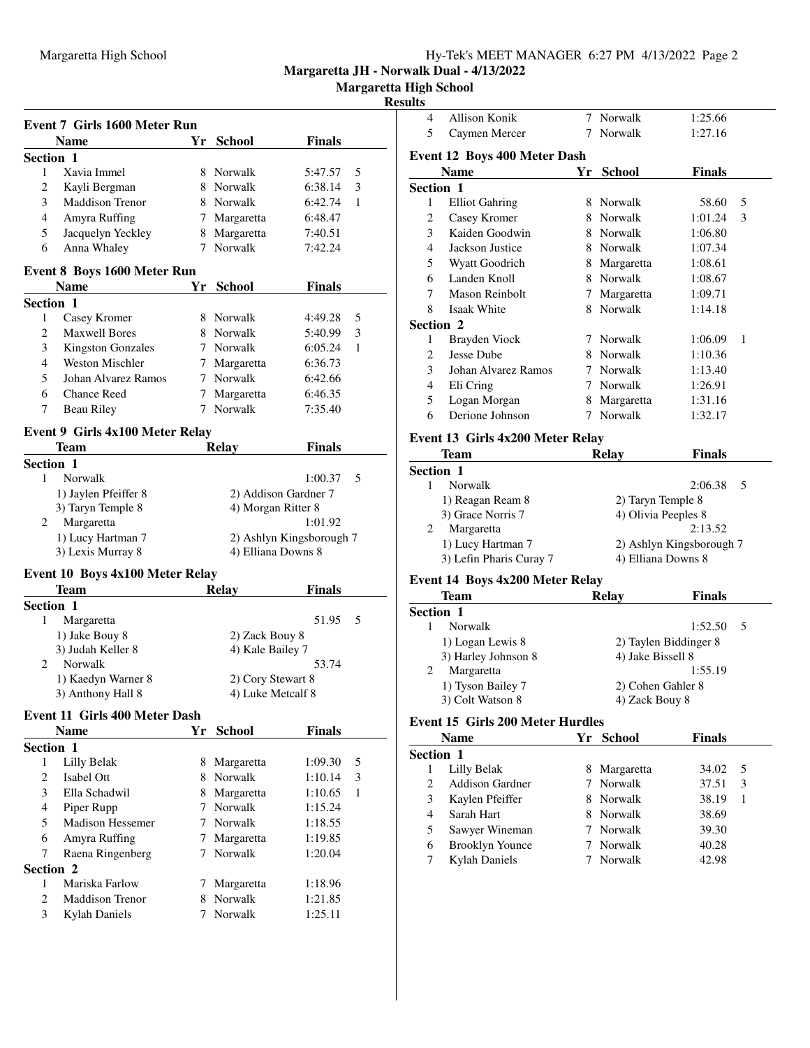**Margaretta High School**

#### **Results**

|                  | Event 7 Girls 1600 Meter Run       |    |                    |                          |   |
|------------------|------------------------------------|----|--------------------|--------------------------|---|
|                  | <b>Name</b>                        | Yr | <b>School</b>      | <b>Finals</b>            |   |
| Section 1        |                                    |    |                    |                          |   |
| 1                | Xavia Immel                        |    | 8 Norwalk          | 5:47.57                  | 5 |
| 2                | Kayli Bergman                      |    | 8 Norwalk          | 6:38.14                  | 3 |
| 3                | Maddison Trenor                    |    | 8 Norwalk          | 6:42.74                  | 1 |
| 4                | Amyra Ruffing                      |    | 7 Margaretta       | 6:48.47                  |   |
| 5                | Jacquelyn Yeckley                  |    | 8 Margaretta       | 7:40.51                  |   |
| 6                | Anna Whaley                        | 7  | Norwalk            | 7:42.24                  |   |
|                  | <b>Event 8 Boys 1600 Meter Run</b> |    |                    |                          |   |
|                  | <b>Name</b>                        |    | Yr School          | Finals                   |   |
| <b>Section 1</b> |                                    |    |                    |                          |   |
| 1                | Casey Kromer                       |    | 8 Norwalk          | 4:49.28                  | 5 |
| 2                | <b>Maxwell Bores</b>               |    | 8 Norwalk          | 5:40.99                  | 3 |
| 3                | <b>Kingston Gonzales</b>           |    | 7 Norwalk          | 6:05.24                  | 1 |
| 4                | Weston Mischler                    |    | 7 Margaretta       | 6:36.73                  |   |
| 5                | Johan Alvarez Ramos                |    | 7 Norwalk          | 6:42.66                  |   |
| 6                | <b>Chance Reed</b>                 | 7  | Margaretta         | 6:46.35                  |   |
| 7                | Beau Riley                         | 7  | Norwalk            | 7:35.40                  |   |
|                  | Event 9 Girls 4x100 Meter Relay    |    |                    |                          |   |
|                  | <b>Team</b>                        |    | Relay              | Finals                   |   |
| Section 1        |                                    |    |                    |                          |   |
| 1                | Norwalk                            |    |                    | 1:00.37                  | 5 |
|                  | 1) Jaylen Pfeiffer 8               |    |                    | 2) Addison Gardner 7     |   |
|                  | 3) Taryn Temple 8                  |    | 4) Morgan Ritter 8 |                          |   |
|                  | Margaretta<br>2                    |    |                    | 1:01.92                  |   |
|                  | 1) Lucy Hartman 7                  |    |                    | 2) Ashlyn Kingsborough 7 |   |
|                  | 3) Lexis Murray 8                  |    | 4) Elliana Downs 8 |                          |   |
|                  | Event 10 Boys 4x100 Meter Relay    |    |                    |                          |   |
|                  | <b>Team</b>                        |    | <b>Relay</b>       | <b>Finals</b>            |   |
| Section 1        |                                    |    |                    |                          |   |
| 1                | Margaretta                         |    |                    | 51.95                    | 5 |
|                  | 1) Jake Bouy 8                     |    | 2) Zack Bouy 8     |                          |   |
|                  | 3) Judah Keller 8                  |    | 4) Kale Bailey 7   |                          |   |
| 2                | Norwalk                            |    |                    | 53.74                    |   |
|                  | 1) Kaedyn Warner 8                 |    | 2) Cory Stewart 8  |                          |   |
|                  | 3) Anthony Hall 8                  |    | 4) Luke Metcalf 8  |                          |   |
|                  | Event 11 Girls 400 Meter Dash      |    |                    |                          |   |
|                  | <b>Name</b>                        |    | Yr School          | <b>Finals</b>            |   |
| Section 1        |                                    |    |                    |                          |   |
| 1                | Lilly Belak                        | 8  | Margaretta         | 1:09.30                  | 5 |
| 2                | Isabel Ott                         |    | 8 Norwalk          | 1:10.14                  | 3 |
| 3                | Ella Schadwil                      |    | 8 Margaretta       | 1:10.65                  | 1 |
| $\overline{4}$   | Piper Rupp                         | 7  | Norwalk            | 1:15.24                  |   |
| 5                | <b>Madison Hessemer</b>            |    | 7 Norwalk          | 1:18.55                  |   |
| 6                | Amyra Ruffing                      | 7  | Margaretta         | 1:19.85                  |   |
| 7                | Raena Ringenberg                   | 7  | Norwalk            | 1:20.04                  |   |
| Section 2        |                                    |    |                    |                          |   |
| 1                | Mariska Farlow                     | 7  | Margaretta         | 1:18.96                  |   |
| 2                | <b>Maddison Trenor</b>             | 8  | Norwalk            | 1:21.85                  |   |
| 3                | <b>Kylah Daniels</b>               | 7  | Norwalk            | 1:25.11                  |   |
|                  |                                    |    |                    |                          |   |

| படு                 |                                             |   |                                          |                          |        |
|---------------------|---------------------------------------------|---|------------------------------------------|--------------------------|--------|
| 4                   | <b>Allison Konik</b>                        | 7 | Norwalk                                  | 1:25.66                  |        |
| 5                   | Caymen Mercer                               | 7 | Norwalk                                  | 1:27.16                  |        |
|                     |                                             |   |                                          |                          |        |
|                     | Event 12 Boys 400 Meter Dash<br><b>Name</b> |   | Yr School                                | <b>Finals</b>            |        |
|                     | Section 1                                   |   |                                          |                          |        |
| 1                   | <b>Elliot Gahring</b>                       |   | 8 Norwalk                                | 58.60                    | 5      |
| $\overline{c}$      | Casey Kromer                                |   | 8 Norwalk                                | 1:01.24                  | 3      |
| 3                   | Kaiden Goodwin                              |   | 8 Norwalk                                | 1:06.80                  |        |
| 4                   | Jackson Justice                             |   | 8 Norwalk                                | 1:07.34                  |        |
| 5                   | Wyatt Goodrich                              |   | 8 Margaretta                             | 1:08.61                  |        |
| 6                   | Landen Knoll                                |   | 8 Norwalk                                | 1:08.67                  |        |
| 7                   | <b>Mason Reinbolt</b>                       |   | 7 Margaretta                             | 1:09.71                  |        |
| 8                   | Isaak White                                 |   | 8 Norwalk                                | 1:14.18                  |        |
|                     | Section 2                                   |   |                                          |                          |        |
| 1                   | Brayden Viock                               |   | 7 Norwalk                                | 1:06.09                  | 1      |
| 2                   | Jesse Dube                                  |   | 8 Norwalk                                | 1:10.36                  |        |
| 3                   | Johan Alvarez Ramos                         |   | 7 Norwalk                                | 1:13.40                  |        |
| 4                   | Eli Cring                                   |   | 7 Norwalk                                | 1:26.91                  |        |
| 5                   | Logan Morgan                                |   | 8 Margaretta                             | 1:31.16                  |        |
| 6                   | Derione Johnson                             | 7 | Norwalk                                  | 1:32.17                  |        |
|                     |                                             |   |                                          |                          |        |
|                     | Event 13 Girls 4x200 Meter Relay            |   |                                          |                          |        |
|                     | <b>Team</b>                                 |   | <b>Relay</b>                             | Finals                   |        |
|                     | Section 1                                   |   |                                          |                          |        |
| 1                   | Norwalk                                     |   |                                          | 2:06.38                  | 5      |
|                     | 1) Reagan Ream 8<br>3) Grace Norris 7       |   | 2) Taryn Temple 8<br>4) Olivia Peeples 8 |                          |        |
| 2                   | Margaretta                                  |   |                                          | 2:13.52                  |        |
|                     | 1) Lucy Hartman 7                           |   |                                          | 2) Ashlyn Kingsborough 7 |        |
|                     | 3) Lefin Pharis Curay 7                     |   | 4) Elliana Downs 8                       |                          |        |
|                     |                                             |   |                                          |                          |        |
|                     | <b>Event 14 Boys 4x200 Meter Relay</b>      |   |                                          |                          |        |
|                     | <b>Team</b>                                 |   | <b>Relay</b>                             | Finals                   |        |
|                     | <b>Section 1</b>                            |   |                                          |                          |        |
| 1                   | Norwalk                                     |   |                                          | 1:52.50                  | 5      |
|                     | 1) Logan Lewis 8<br>3) Harley Johnson 8     |   | 4) Jake Bissell 8                        | 2) Taylen Biddinger 8    |        |
| 2                   | Margaretta                                  |   |                                          | 1:55.19                  |        |
|                     | 1) Tyson Bailey 7                           |   | 2) Cohen Gahler 8                        |                          |        |
|                     | 3) Colt Watson 8                            |   | 4) Zack Bouy 8                           |                          |        |
|                     |                                             |   |                                          |                          |        |
|                     | <b>Event 15 Girls 200 Meter Hurdles</b>     |   |                                          |                          |        |
|                     | <b>Name</b>                                 |   | Yr School                                | <b>Finals</b>            |        |
|                     | <b>Section 1</b>                            |   |                                          |                          |        |
| 1<br>$\overline{c}$ | Lilly Belak<br><b>Addison Gardner</b>       | 8 | Margaretta<br>7 Norwalk                  | 34.02<br>37.51           | 5<br>3 |
| 3                   | Kaylen Pfeiffer                             |   | 8 Norwalk                                | 38.19                    | 1      |
| 4                   | Sarah Hart                                  |   | 8 Norwalk                                | 38.69                    |        |
| 5                   | Sawyer Wineman                              |   | 7 Norwalk                                | 39.30                    |        |
| 6                   | <b>Brooklyn Younce</b>                      |   | 7 Norwalk                                | 40.28                    |        |
| 7                   | <b>Kylah Daniels</b>                        | 7 | Norwalk                                  | 42.98                    |        |
|                     |                                             |   |                                          |                          |        |
|                     |                                             |   |                                          |                          |        |
|                     |                                             |   |                                          |                          |        |
|                     |                                             |   |                                          |                          |        |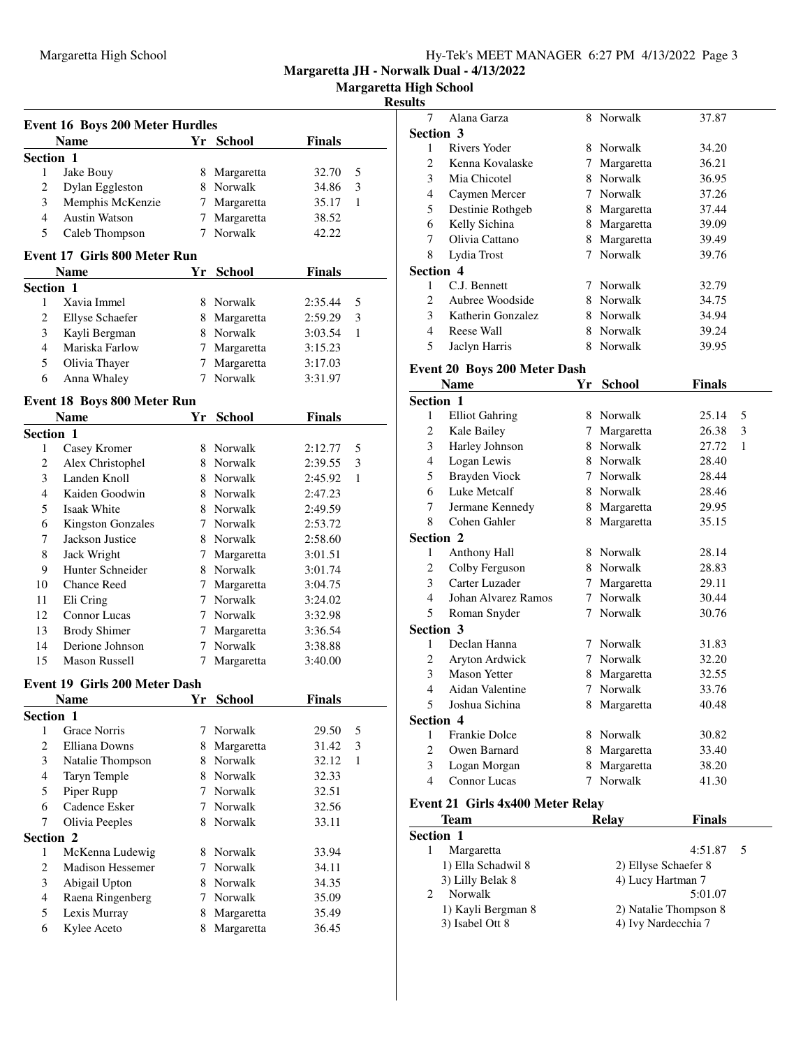**Margaretta High School**

### **Res**

|                  | <b>Event 16 Boys 200 Meter Hurdles</b> |      |               |               |   |
|------------------|----------------------------------------|------|---------------|---------------|---|
|                  | Name                                   | Yr   | <b>School</b> | <b>Finals</b> |   |
| Section 1        |                                        |      |               |               |   |
| 1                | Jake Bouy                              |      | 8 Margaretta  | 32.70         | 5 |
| 2                | Dylan Eggleston                        |      | 8 Norwalk     | 34.86         | 3 |
| 3                | Memphis McKenzie                       |      | 7 Margaretta  | 35.17         | 1 |
| 4                | <b>Austin Watson</b>                   | 7    | Margaretta    | 38.52         |   |
| 5                | Caleb Thompson                         | 7    | Norwalk       | 42.22         |   |
|                  | Event 17 Girls 800 Meter Run           |      |               |               |   |
|                  | Name                                   | Υr   | <b>School</b> | <b>Finals</b> |   |
| <b>Section 1</b> |                                        |      |               |               |   |
| 1                | Xavia Immel                            |      | 8 Norwalk     | 2:35.44       | 5 |
| 2                | <b>Ellyse Schaefer</b>                 |      | 8 Margaretta  | 2:59.29       | 3 |
| 3                | Kayli Bergman                          |      | 8 Norwalk     | 3:03.54       | 1 |
| 4                | Mariska Farlow                         |      | 7 Margaretta  | 3:15.23       |   |
| 5                | Olivia Thayer                          |      | 7 Margaretta  | 3:17.03       |   |
| 6                | Anna Whaley                            | 7    | Norwalk       | 3:31.97       |   |
|                  |                                        |      |               |               |   |
|                  | <b>Event 18 Boys 800 Meter Run</b>     |      |               |               |   |
|                  | <b>Name</b>                            | Yr - | <b>School</b> | Finals        |   |
| Section 1        |                                        |      |               |               |   |
| 1                | Casey Kromer                           | 8    | Norwalk       | 2:12.77       | 5 |
| 2                | Alex Christophel                       | 8    | Norwalk       | 2:39.55       | 3 |
| 3                | Landen Knoll                           |      | 8 Norwalk     | 2:45.92       | 1 |
| 4                | Kaiden Goodwin                         | 8    | Norwalk       | 2:47.23       |   |
| 5                | Isaak White                            | 8    | Norwalk       | 2:49.59       |   |
| 6                | <b>Kingston Gonzales</b>               | 7    | Norwalk       | 2:53.72       |   |
| 7                | Jackson Justice                        |      | 8 Norwalk     | 2:58.60       |   |
| 8                | Jack Wright                            |      | 7 Margaretta  | 3:01.51       |   |
| 9                | Hunter Schneider                       |      | 8 Norwalk     | 3:01.74       |   |
| 10               | <b>Chance Reed</b>                     |      | 7 Margaretta  | 3:04.75       |   |
| 11               | Eli Cring                              |      | 7 Norwalk     | 3:24.02       |   |
| 12               | Connor Lucas                           | 7    | Norwalk       | 3:32.98       |   |
| 13               | <b>Brody Shimer</b>                    | 7    | Margaretta    | 3:36.54       |   |
| 14               | Derione Johnson                        | 7    | Norwalk       | 3:38.88       |   |
| 15               | <b>Mason Russell</b>                   | 7    | Margaretta    | 3:40.00       |   |
|                  | <b>Event 19 Girls 200 Meter Dash</b>   |      |               |               |   |
|                  | Name                                   | Yr   | <b>School</b> | <b>Finals</b> |   |
| Section 1        |                                        |      |               |               |   |
| 1                | Grace Norris                           | 7    | Norwalk       | 29.50         | 5 |
| $\overline{2}$   | Elliana Downs                          | 8    | Margaretta    | 31.42         | 3 |
| 3                | Natalie Thompson                       |      | 8 Norwalk     | 32.12         | 1 |
| 4                | Taryn Temple                           |      | 8 Norwalk     | 32.33         |   |
| 5                | Piper Rupp                             |      | 7 Norwalk     | 32.51         |   |
| 6                | Cadence Esker                          |      | 7 Norwalk     |               |   |
|                  |                                        |      |               | 32.56         |   |
| 7                | Olivia Peeples                         | 8    | Norwalk       | 33.11         |   |
| Section 2<br>1   | McKenna Ludewig                        |      | 8 Norwalk     | 33.94         |   |
|                  |                                        |      |               |               |   |
| 2                | <b>Madison Hessemer</b>                | 7    | Norwalk       | 34.11         |   |
| 3                | Abigail Upton                          |      | 8 Norwalk     | 34.35         |   |
| 4                | Raena Ringenberg                       |      | 7 Norwalk     | 35.09         |   |
| 5                | Lexis Murray                           |      | 8 Margaretta  | 35.49         |   |
| 6                | Kylee Aceto                            | 8    | Margaretta    | 36.45         |   |

| sults          |                                       |               |                   |                                              |   |
|----------------|---------------------------------------|---------------|-------------------|----------------------------------------------|---|
| 7              | Alana Garza                           |               | 8 Norwalk         | 37.87                                        |   |
| Section 3      |                                       |               |                   |                                              |   |
| 1              | Rivers Yoder                          | 8             | Norwalk           | 34.20                                        |   |
| $\overline{c}$ | Kenna Kovalaske                       |               | 7 Margaretta      | 36.21                                        |   |
| 3              | Mia Chicotel                          |               | 8 Norwalk         | 36.95                                        |   |
| 4              | Caymen Mercer                         |               | 7 Norwalk         | 37.26                                        |   |
| 5              | Destinie Rothgeb                      |               | 8 Margaretta      | 37.44                                        |   |
| 6              | Kelly Sichina                         |               | 8 Margaretta      | 39.09                                        |   |
| 7              | Olivia Cattano                        | 8             | Margaretta        | 39.49                                        |   |
| 8              | Lydia Trost                           | 7             | Norwalk           | 39.76                                        |   |
| Section 4      |                                       |               |                   |                                              |   |
| 1              | C.J. Bennett                          | 7             | Norwalk           | 32.79                                        |   |
| $\overline{c}$ | Aubree Woodside                       | 8             | Norwalk           | 34.75                                        |   |
| 3              | Katherin Gonzalez                     |               | 8 Norwalk         | 34.94                                        |   |
| $\overline{4}$ | Reese Wall                            | 8             | Norwalk           | 39.24                                        |   |
| 5              | Jaclyn Harris                         | 8             | Norwalk           | 39.95                                        |   |
|                | <b>Event 20 Boys 200 Meter Dash</b>   |               |                   |                                              |   |
|                | <b>Name</b>                           | Yr            | <b>School</b>     | <b>Finals</b>                                |   |
| Section 1      |                                       |               |                   |                                              |   |
| 1              | <b>Elliot Gahring</b>                 |               | 8 Norwalk         | 25.14                                        | 5 |
| $\overline{c}$ | Kale Bailey                           |               | 7 Margaretta      | 26.38                                        | 3 |
| 3              | Harley Johnson                        |               | 8 Norwalk         | 27.72                                        | 1 |
| $\overline{4}$ | Logan Lewis                           | 8             | Norwalk           | 28.40                                        |   |
| 5              | Brayden Viock                         | 7             | Norwalk           | 28.44                                        |   |
| 6              | Luke Metcalf                          |               | 8 Norwalk         | 28.46                                        |   |
| 7              | Jermane Kennedy                       |               | 8 Margaretta      | 29.95                                        |   |
| 8              | Cohen Gahler                          | 8             | Margaretta        | 35.15                                        |   |
| Section 2      |                                       |               |                   |                                              |   |
| 1              | Anthony Hall                          | 8             | Norwalk           | 28.14                                        |   |
| 2              | Colby Ferguson                        |               | 8 Norwalk         | 28.83                                        |   |
| 3              | Carter Luzader                        |               | 7 Margaretta      | 29.11                                        |   |
| 4              | Johan Alvarez Ramos                   |               | 7 Norwalk         | 30.44                                        |   |
| 5              | Roman Snyder                          | 7             | Norwalk           | 30.76                                        |   |
| Section 3      |                                       |               |                   |                                              |   |
| 1              | Declan Hanna                          | 7             | Norwalk           | 31.83                                        |   |
| 2              | Aryton Ardwick                        | 7             | Norwalk           | 32.20                                        |   |
| 3              | <b>Mason Yetter</b>                   | 8             | Margaretta        | 32.55                                        |   |
| 4              | Aidan Valentine                       | $\mathcal{L}$ | Norwalk           | 33.76                                        |   |
| 5              | Joshua Sichina                        | 8             | Margaretta        | 40.48                                        |   |
| Section 4<br>1 | Frankie Dolce                         | 8.            | Norwalk           |                                              |   |
| $\overline{c}$ | Owen Barnard                          |               | 8 Margaretta      | 30.82<br>33.40                               |   |
| 3              |                                       |               | 8 Margaretta      | 38.20                                        |   |
| $\overline{4}$ | Logan Morgan<br>Connor Lucas          |               | 7 Norwalk         | 41.30                                        |   |
|                |                                       |               |                   |                                              |   |
|                | Event 21 Girls 4x400 Meter Relay      |               |                   |                                              |   |
|                | Team                                  |               | <b>Relay</b>      | <b>Finals</b>                                |   |
| Section 1      |                                       |               |                   |                                              |   |
| 1              | Margaretta                            |               |                   | 4:51.87                                      | 5 |
|                | 1) Ella Schadwil 8                    |               |                   | 2) Ellyse Schaefer 8                         |   |
|                | 3) Lilly Belak 8                      |               | 4) Lucy Hartman 7 |                                              |   |
| 2              | Norwalk                               |               |                   | 5:01.07                                      |   |
|                | 1) Kayli Bergman 8<br>3) Isabel Ott 8 |               |                   | 2) Natalie Thompson 8<br>4) Ivy Nardecchia 7 |   |
|                |                                       |               |                   |                                              |   |
|                |                                       |               |                   |                                              |   |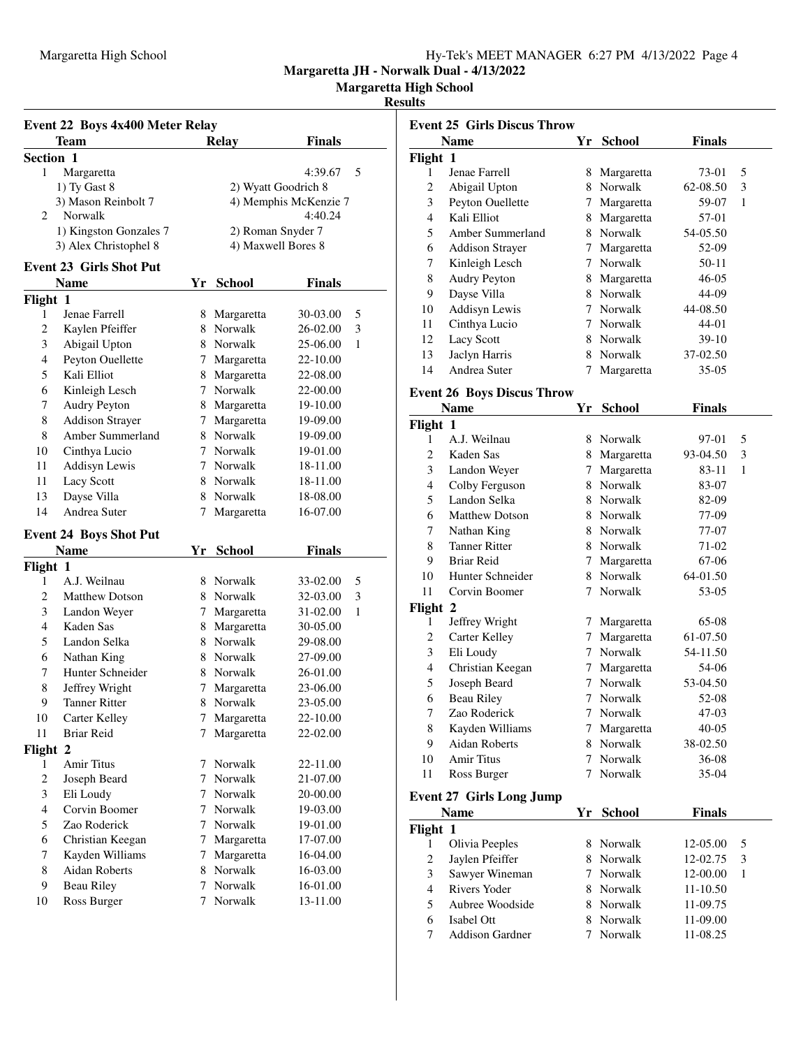# **Margaretta High School**

#### **Results**

|                | <b>Event 22 Boys 4x400 Meter Relay</b> |    |                    |                       |   |
|----------------|----------------------------------------|----|--------------------|-----------------------|---|
|                | <b>Team</b>                            |    | <b>Relay</b>       | <b>Finals</b>         |   |
| Section 1      |                                        |    |                    |                       |   |
| 1              | Margaretta                             |    |                    | 4:39.67               | 5 |
|                | 1) Ty Gast 8                           |    |                    | 2) Wyatt Goodrich 8   |   |
|                | 3) Mason Reinbolt 7                    |    |                    | 4) Memphis McKenzie 7 |   |
| 2              | Norwalk                                |    |                    | 4:40.24               |   |
|                | 1) Kingston Gonzales 7                 |    | 2) Roman Snyder 7  |                       |   |
|                | 3) Alex Christophel 8                  |    | 4) Maxwell Bores 8 |                       |   |
|                | <b>Event 23 Girls Shot Put</b>         |    |                    |                       |   |
|                | Name                                   | Yr | <b>School</b>      | <b>Finals</b>         |   |
| Flight 1       |                                        |    |                    |                       |   |
| 1              | Jenae Farrell                          | 8  | Margaretta         | 30-03.00              | 5 |
| 2              | Kaylen Pfeiffer                        | 8  | Norwalk            | 26-02.00              | 3 |
| 3              | Abigail Upton                          | 8  | Norwalk            | 25-06.00              | 1 |
| 4              | Peyton Ouellette                       | 7  | Margaretta         | 22-10.00              |   |
| 5              | Kali Elliot                            | 8  | Margaretta         | 22-08.00              |   |
| 6              | Kinleigh Lesch                         |    | 7 Norwalk          | 22-00.00              |   |
| 7              | <b>Audry Peyton</b>                    | 8  | Margaretta         | 19-10.00              |   |
| 8              | <b>Addison Strayer</b>                 | 7  | Margaretta         | 19-09.00              |   |
| 8              | Amber Summerland                       |    | 8 Norwalk          | 19-09.00              |   |
| 10             | Cinthya Lucio                          | 7  | Norwalk            | 19-01.00              |   |
| 11             | <b>Addisyn Lewis</b>                   | 7  | Norwalk            | 18-11.00              |   |
| 11             | Lacy Scott                             |    | 8 Norwalk          | 18-11.00              |   |
| 13             | Dayse Villa                            | 8  | Norwalk            | 18-08.00              |   |
| 14             | Andrea Suter                           | 7  | Margaretta         | 16-07.00              |   |
|                |                                        |    |                    |                       |   |
|                | <b>Event 24 Boys Shot Put</b>          |    |                    |                       |   |
|                | Name                                   | Yr | <b>School</b>      | Finals                |   |
| Flight 1       |                                        |    |                    |                       |   |
| 1              | A.J. Weilnau                           | 8  | Norwalk            | 33-02.00              | 5 |
| 2              | <b>Matthew Dotson</b>                  | 8  | Norwalk            | 32-03.00              | 3 |
| 3              | Landon Weyer                           | 7  | Margaretta         | 31-02.00              | 1 |
| 4              | Kaden Sas                              |    | 8 Margaretta       | 30-05.00              |   |
| 5              | Landon Selka                           |    | 8 Norwalk          | 29-08.00              |   |
| 6              | Nathan King                            | 8  | Norwalk            | 27-09.00              |   |
| 7              | Hunter Schneider                       |    | 8 Norwalk          | 26-01.00              |   |
| 8              | Jeffrey Wright                         | 7  | Margaretta         | 23-06.00              |   |
| 9              | Tanner Ritter                          | 8  | Norwalk            | 23-05.00              |   |
| 10             | Carter Kelley                          | 7  | Margaretta         | 22-10.00              |   |
| 11             | <b>Briar Reid</b>                      | 7  | Margaretta         | 22-02.00              |   |
| Flight 2       |                                        |    |                    |                       |   |
| 1              | Amir Titus                             | 7  | Norwalk            | 22-11.00              |   |
| $\overline{c}$ | Joseph Beard                           | 7  | Norwalk            | 21-07.00              |   |
| 3              | Eli Loudy                              | 7  | Norwalk            | 20-00.00              |   |
| $\overline{4}$ | Corvin Boomer                          | 7  | Norwalk            | 19-03.00              |   |
| 5              | Zao Roderick                           | 7  | Norwalk            | 19-01.00              |   |
| 6              | Christian Keegan                       | 7  | Margaretta         | 17-07.00              |   |
| 7              | Kayden Williams                        | 7  | Margaretta         | 16-04.00              |   |
| 8              | <b>Aidan Roberts</b>                   | 8  | Norwalk            | 16-03.00              |   |
| 9              | <b>Beau Riley</b>                      | 7  | Norwalk            | 16-01.00              |   |
| 10             | Ross Burger                            | 7  | Norwalk            | 13-11.00              |   |

|                | <b>Event 25 Girls Discus Throw</b> |    |               |               |              |
|----------------|------------------------------------|----|---------------|---------------|--------------|
|                | <b>Name</b>                        | Yr | <b>School</b> | <b>Finals</b> |              |
| Flight 1       |                                    |    |               |               |              |
| 1              | Jenae Farrell                      | 8  | Margaretta    | 73-01         | 5            |
| 2              | Abigail Upton                      |    | 8 Norwalk     | 62-08.50      | 3            |
| 3              | Peyton Ouellette                   | 7  | Margaretta    | 59-07         | 1            |
| 4              | Kali Elliot                        | 8  | Margaretta    | 57-01         |              |
| 5              | Amber Summerland                   |    | 8 Norwalk     | 54-05.50      |              |
| 6              | <b>Addison Strayer</b>             | 7  | Margaretta    | 52-09         |              |
| 7              | Kinleigh Lesch                     |    | 7 Norwalk     | 50-11         |              |
| 8              | <b>Audry Peyton</b>                |    | 8 Margaretta  | 46-05         |              |
| 9              | Dayse Villa                        |    | 8 Norwalk     | 44-09         |              |
| 10             | <b>Addisyn Lewis</b>               |    | 7 Norwalk     | 44-08.50      |              |
| 11             | Cinthya Lucio                      |    | 7 Norwalk     | 44-01         |              |
| 12             | Lacy Scott                         |    | 8 Norwalk     | 39-10         |              |
| 13             | Jaclyn Harris                      |    | 8 Norwalk     | 37-02.50      |              |
| 14             | Andrea Suter                       | 7  | Margaretta    | 35-05         |              |
|                | <b>Event 26 Boys Discus Throw</b>  |    |               |               |              |
|                | <b>Name</b>                        | Yr | <b>School</b> | <b>Finals</b> |              |
| Flight 1       |                                    |    |               |               |              |
| 1              | A.J. Weilnau                       | 8  | Norwalk       | 97-01         | 5            |
| 2              | Kaden Sas                          |    | 8 Margaretta  | 93-04.50      | 3            |
| 3              | Landon Weyer                       | 7  | Margaretta    | 83-11         | 1            |
| $\overline{4}$ | Colby Ferguson                     |    | 8 Norwalk     | 83-07         |              |
| 5              | Landon Selka                       |    | 8 Norwalk     | 82-09         |              |
| 6              | <b>Matthew Dotson</b>              |    | 8 Norwalk     | 77-09         |              |
| 7              | Nathan King                        |    | 8 Norwalk     | 77-07         |              |
| 8              | Tanner Ritter                      |    | 8 Norwalk     | 71-02         |              |
| 9              | Briar Reid                         | 7  | Margaretta    | 67-06         |              |
| 10             | Hunter Schneider                   |    | 8 Norwalk     | 64-01.50      |              |
| 11             | Corvin Boomer                      | 7  | Norwalk       | 53-05         |              |
| Flight 2       |                                    |    |               |               |              |
| 1              | Jeffrey Wright                     | 7  | Margaretta    | 65-08         |              |
| 2              | Carter Kelley                      | 7  | Margaretta    | 61-07.50      |              |
| 3              | Eli Loudy                          | 7  | Norwalk       | 54-11.50      |              |
| 4              | Christian Keegan                   | 7  | Margaretta    | 54-06         |              |
| 5              | Joseph Beard                       | 7  | Norwalk       | 53-04.50      |              |
| 6              | <b>Beau Riley</b>                  | 7  | Norwalk       | 52-08         |              |
| 7              | Zao Roderick                       | 7  | Norwalk       | 47-03         |              |
| 8              | Kayden Williams                    | 7  | Margaretta    | 40-05         |              |
| 9              | Aidan Roberts                      |    | 8 Norwalk     | 38-02.50      |              |
| 10             | Amir Titus                         |    | 7 Norwalk     | 36-08         |              |
| 11             | Ross Burger                        | 7  | Norwalk       | 35-04         |              |
|                | <b>Event 27 Girls Long Jump</b>    |    |               |               |              |
|                | <b>Name</b>                        | Yr | <b>School</b> | <b>Finals</b> |              |
| Flight 1       |                                    |    |               |               |              |
| 1              | Olivia Peeples                     | 8  | Norwalk       | 12-05.00      | 5            |
| 2              | Jaylen Pfeiffer                    | 8  | Norwalk       | 12-02.75      | 3            |
| 3              | Sawyer Wineman                     | 7  | Norwalk       | 12-00.00      | $\mathbf{1}$ |
| $\overline{4}$ | Rivers Yoder                       |    | 8 Norwalk     | 11-10.50      |              |
| 5              | Aubree Woodside                    | 8  | Norwalk       | 11-09.75      |              |
| 6              | Isabel Ott                         | 8  | Norwalk       | 11-09.00      |              |
| 7              | Addison Gardner                    | 7  | Norwalk       | 11-08.25      |              |